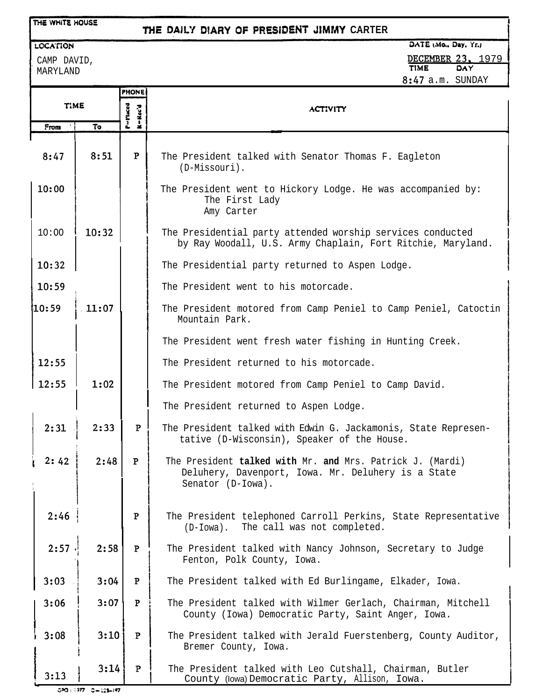## **DtARY Of PRESiDENf .JlMf4Y CARTER**

DATE (Mo., Day, Yr.)

LOCATION

CAMP DAVID, MARYLAND

THE WHITE HOUSE

DECEMBER 23, 1979 8:47 a.m. SUNDAY

**I**

|             |       | <b>PHONE</b>             |                                                                                                                                      |
|-------------|-------|--------------------------|--------------------------------------------------------------------------------------------------------------------------------------|
| <b>TIME</b> |       | P-Placed<br>$A = Hec' d$ | <b>ACTIVITY</b>                                                                                                                      |
| From        | To    |                          |                                                                                                                                      |
| 8:47        | 8:51  | $\mathbf{P}$             | The President talked with Senator Thomas F. Eagleton<br>(D-Missouri).                                                                |
| 10:00       |       |                          | The President went to Hickory Lodge. He was accompanied by:<br>The First Lady<br>Amy Carter                                          |
| 10:00       | 10:32 |                          | The Presidential party attended worship services conducted<br>by Ray Woodall, U.S. Army Chaplain, Fort Ritchie, Maryland.            |
| 10:32       |       |                          | The Presidential party returned to Aspen Lodge.                                                                                      |
| 10:59       |       |                          | The President went to his motorcade.                                                                                                 |
| 110:59      | 11:07 |                          | The President motored from Camp Peniel to Camp Peniel, Catoctin<br>Mountain Park.                                                    |
|             |       |                          | The President went fresh water fishing in Hunting Creek.                                                                             |
| 12:55       |       |                          | The President returned to his motorcade.                                                                                             |
| 12:55       | 1:02  |                          | The President motored from Camp Peniel to Camp David.                                                                                |
|             |       |                          | The President returned to Aspen Lodge.                                                                                               |
| 2:31        | 2:33  | P                        | The President talked with Edwin G. Jackamonis, State Represen-<br>tative (D-Wisconsin), Speaker of the House.                        |
| 2:42        | 2:48  | $\mathbf{P}$             | The President talked with Mr. and Mrs. Patrick J. (Mardi)<br>Deluhery, Davenport, Iowa. Mr. Deluhery is a State<br>Senator (D-Iowa). |
| 2:46        |       | $\mathbf P$              | The President telephoned Carroll Perkins, State Representative<br>The call was not completed.<br>$(D-Iowa)$ .                        |
| 2:57        | 2:58  | ${\bf P}$                | The President talked with Nancy Johnson, Secretary to Judge<br>Fenton, Polk County, Iowa.                                            |
| 3:03        | 3:04  | $\mathbf{P}$             | The President talked with Ed Burlingame, Elkader, Iowa.                                                                              |
| 3:06        | 3:07  | $\mathbf{P}$             | The President talked with Wilmer Gerlach, Chairman, Mitchell<br>County (Iowa) Democratic Party, Saint Anger, Iowa.                   |
| 3:08        | 3:10  | P                        | The President talked with Jerald Fuerstenberg, County Auditor,<br>Bremer County, Iowa.                                               |
| 3:13        | 3:14  | P                        | The President talked with Leo Cutshall, Chairman, Butler<br>County (lowa) Democratic Party, Allison, Iowa.                           |

 $590:197 - 5 + 123 + 197$